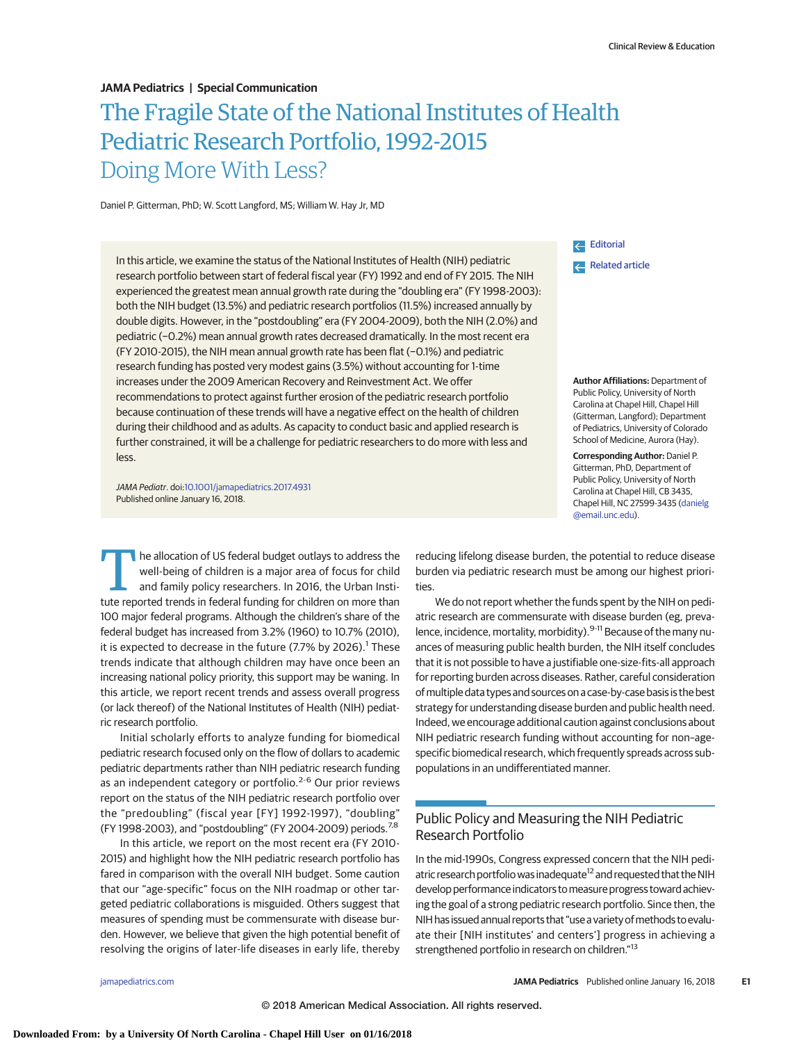#### **JAMA Pediatrics | Special Communication**

# The Fragile State of the National Institutes of Health Pediatric Research Portfolio, 1992-2015 Doing More With Less?

Daniel P. Gitterman, PhD; W. Scott Langford, MS; William W. Hay Jr, MD

In this article, we examine the status of the National Institutes of Health (NIH) pediatric research portfolio between start of federal fiscal year (FY) 1992 and end of FY 2015. The NIH experienced the greatest mean annual growth rate during the "doubling era" (FY 1998-2003): both the NIH budget (13.5%) and pediatric research portfolios (11.5%) increased annually by double digits. However, in the "postdoubling" era (FY 2004-2009), both the NIH (2.0%) and pediatric (−0.2%) mean annual growth rates decreased dramatically. In the most recent era (FY 2010-2015), the NIH mean annual growth rate has been flat (−0.1%) and pediatric research funding has posted very modest gains (3.5%) without accounting for 1-time increases under the 2009 American Recovery and Reinvestment Act. We offer recommendations to protect against further erosion of the pediatric research portfolio because continuation of these trends will have a negative effect on the health of children during their childhood and as adults. As capacity to conduct basic and applied research is further constrained, it will be a challenge for pediatric researchers to do more with less and less.

JAMA Pediatr. doi[:10.1001/jamapediatrics.2017.4931](http://jama.jamanetwork.com/article.aspx?doi=10.1001/jamapediatrics.2017.4931&utm_campaign=articlePDF%26utm_medium=articlePDFlink%26utm_source=articlePDF%26utm_content=jamapediatrics.2017.4931) Published online January 16, 2018.

[Editorial](http://jama.jamanetwork.com/article.aspx?doi=10.1001/jamapediatrics.2017.4954&utm_campaign=articlePDF%26utm_medium=articlePDFlink%26utm_source=articlePDF%26utm_content=jamapediatrics.2017.4931) [Related article](http://jama.jamanetwork.com/article.aspx?doi=10.1001/jamapediatrics.2017.4947&utm_campaign=articlePDF%26utm_medium=articlePDFlink%26utm_source=articlePDF%26utm_content=jamapediatrics.2017.4931)

**Author Affiliations:** Department of Public Policy, University of North Carolina at Chapel Hill, Chapel Hill (Gitterman, Langford); Department of Pediatrics, University of Colorado School of Medicine, Aurora (Hay).

**Corresponding Author:** Daniel P. Gitterman, PhD, Department of Public Policy, University of North Carolina at Chapel Hill, CB 3435, Chapel Hill, NC 27599-3435 [\(danielg](mailto:danielg@email.unc.edu) [@email.unc.edu\)](mailto:danielg@email.unc.edu).

The allocation of US federal budget outlays to address the<br>well-being of children is a major area of focus for child<br>and family policy researchers. In 2016, the Urban Institute well-being of children is a major area of focus for child and family policy researchers. In 2016, the Urban Institute reported trends in federal funding for children on more than 100 major federal programs. Although the children's share of the federal budget has increased from 3.2% (1960) to 10.7% (2010), it is expected to decrease in the future (7.7% by 2026).<sup>1</sup> These trends indicate that although children may have once been an increasing national policy priority, this support may be waning. In this article, we report recent trends and assess overall progress (or lack thereof) of the National Institutes of Health (NIH) pediatric research portfolio.

Initial scholarly efforts to analyze funding for biomedical pediatric research focused only on the flow of dollars to academic pediatric departments rather than NIH pediatric research funding as an independent category or portfolio.<sup>2-6</sup> Our prior reviews report on the status of the NIH pediatric research portfolio over the "predoubling" (fiscal year [FY] 1992-1997), "doubling" (FY 1998-2003), and "postdoubling" (FY 2004-2009) periods.<sup>7,8</sup>

In this article, we report on the most recent era (FY 2010- 2015) and highlight how the NIH pediatric research portfolio has fared in comparison with the overall NIH budget. Some caution that our "age-specific" focus on the NIH roadmap or other targeted pediatric collaborations is misguided. Others suggest that measures of spending must be commensurate with disease burden. However, we believe that given the high potential benefit of resolving the origins of later-life diseases in early life, thereby

reducing lifelong disease burden, the potential to reduce disease burden via pediatric research must be among our highest priorities.

We do not report whether the funds spent by the NIH on pediatric research are commensurate with disease burden (eg, prevalence, incidence, mortality, morbidity).<sup>9-11</sup> Because of the many nuances of measuring public health burden, the NIH itself concludes that it is not possible to have a justifiable one-size-fits-all approach for reporting burden across diseases. Rather, careful consideration ofmultiple data types and sources on a case-by-case basis is the best strategy for understanding disease burden and public health need. Indeed, we encourage additional caution against conclusions about NIH pediatric research funding without accounting for non–agespecific biomedical research, which frequently spreads across subpopulations in an undifferentiated manner.

## Public Policy and Measuring the NIH Pediatric Research Portfolio

In the mid-1990s, Congress expressed concern that the NIH pediatric research portfolio was inadequate<sup>12</sup> and requested that the NIH develop performance indicators tomeasure progress toward achieving the goal of a strong pediatric research portfolio. Since then, the NIH has issued annual reports that "use a variety of methods to evaluate their [NIH institutes' and centers'] progress in achieving a strengthened portfolio in research on children."<sup>13</sup>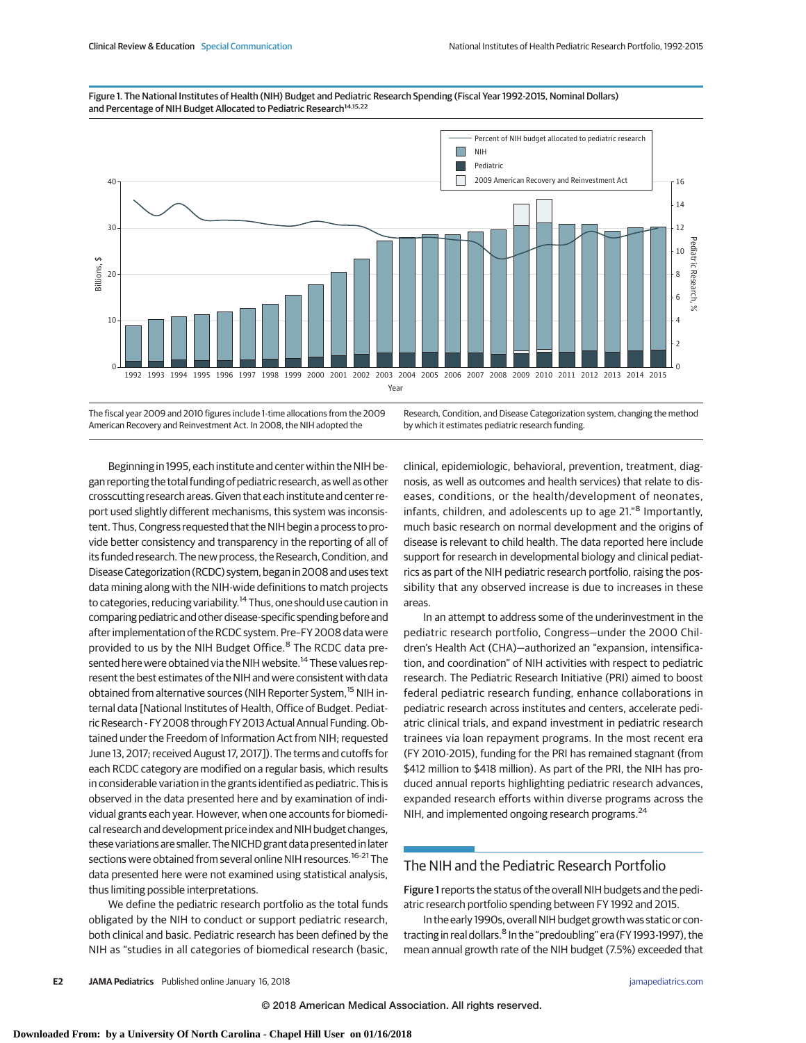



The fiscal year 2009 and 2010 figures include 1-time allocations from the 2009 American Recovery and Reinvestment Act. In 2008, the NIH adopted the

Research, Condition, and Disease Categorization system, changing the method by which it estimates pediatric research funding.

Beginning in 1995, each institute and center within the NIH began reporting the total funding of pediatric research, as well as other crosscutting research areas. Given that each institute and center report used slightly different mechanisms, this system was inconsistent. Thus, Congress requested that the NIH begin a process to provide better consistency and transparency in the reporting of all of its funded research. The new process, the Research, Condition, and Disease Categorization (RCDC) system, began in 2008 and uses text data mining along with the NIH-wide definitions to match projects to categories, reducing variability.<sup>14</sup> Thus, one should use caution in comparing pediatric and other disease-specific spending before and after implementation of the RCDC system. Pre–FY 2008 data were provided to us by the NIH Budget Office.<sup>8</sup> The RCDC data presented here were obtained via the NIH website.<sup>14</sup> These values represent the best estimates of the NIH and were consistent with data obtained from alternative sources (NIH Reporter System,<sup>15</sup> NIH internal data [National Institutes of Health, Office of Budget. Pediatric Research - FY 2008 through FY 2013 Actual Annual Funding.Obtained under the Freedom of Information Act from NIH; requested June 13, 2017; received August 17, 2017]). The terms and cutoffs for each RCDC category are modified on a regular basis, which results in considerable variation in the grants identified as pediatric. This is observed in the data presented here and by examination of individual grants each year. However, when one accounts for biomedical research and development price index and NIH budget changes, these variations are smaller. The NICHD grant data presented in later sections were obtained from several online NIH resources.<sup>16-21</sup> The data presented here were not examined using statistical analysis, thus limiting possible interpretations.

We define the pediatric research portfolio as the total funds obligated by the NIH to conduct or support pediatric research, both clinical and basic. Pediatric research has been defined by the NIH as "studies in all categories of biomedical research (basic,

clinical, epidemiologic, behavioral, prevention, treatment, diagnosis, as well as outcomes and health services) that relate to diseases, conditions, or the health/development of neonates, infants, children, and adolescents up to age 21."<sup>8</sup> Importantly, much basic research on normal development and the origins of disease is relevant to child health. The data reported here include support for research in developmental biology and clinical pediatrics as part of the NIH pediatric research portfolio, raising the possibility that any observed increase is due to increases in these areas.

In an attempt to address some of the underinvestment in the pediatric research portfolio, Congress—under the 2000 Children's Health Act (CHA)—authorized an "expansion, intensification, and coordination" of NIH activities with respect to pediatric research. The Pediatric Research Initiative (PRI) aimed to boost federal pediatric research funding, enhance collaborations in pediatric research across institutes and centers, accelerate pediatric clinical trials, and expand investment in pediatric research trainees via loan repayment programs. In the most recent era (FY 2010-2015), funding for the PRI has remained stagnant (from \$412 million to \$418 million). As part of the PRI, the NIH has produced annual reports highlighting pediatric research advances, expanded research efforts within diverse programs across the NIH, and implemented ongoing research programs.<sup>24</sup>

### The NIH and the Pediatric Research Portfolio

Figure 1reports the status of the overall NIH budgets and the pediatric research portfolio spending between FY 1992 and 2015.

In the early 1990s, overall NIH budget growth was static or contracting in real dollars.<sup>8</sup> In the "predoubling" era (FY 1993-1997), the mean annual growth rate of the NIH budget (7.5%) exceeded that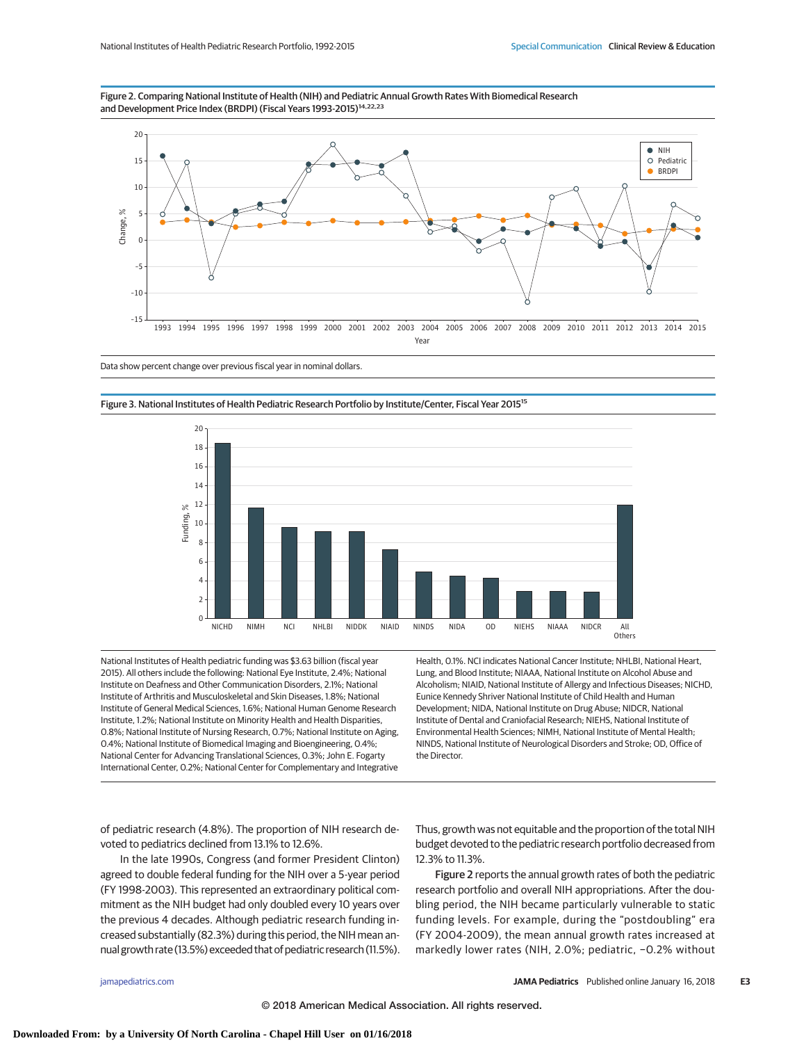



Data show percent change over previous fiscal year in nominal dollars.



Figure 3. National Institutes of Health Pediatric Research Portfolio by Institute/Center, Fiscal Year 2015<sup>15</sup>

National Institutes of Health pediatric funding was \$3.63 billion (fiscal year 2015). All others include the following: National Eye Institute, 2.4%; National Institute on Deafness and Other Communication Disorders, 2.1%; National Institute of Arthritis and Musculoskeletal and Skin Diseases, 1.8%; National Institute of General Medical Sciences, 1.6%; National Human Genome Research Institute, 1.2%; National Institute on Minority Health and Health Disparities, 0.8%; National Institute of Nursing Research, 0.7%; National Institute on Aging, 0.4%; National Institute of Biomedical Imaging and Bioengineering, 0.4%; National Center for Advancing Translational Sciences, 0.3%; John E. Fogarty International Center, 0.2%; National Center for Complementary and Integrative Health, 0.1%. NCI indicates National Cancer Institute; NHLBI, National Heart, Lung, and Blood Institute; NIAAA, National Institute on Alcohol Abuse and Alcoholism; NIAID, National Institute of Allergy and Infectious Diseases; NICHD, Eunice Kennedy Shriver National Institute of Child Health and Human Development; NIDA, National Institute on Drug Abuse; NIDCR, National Institute of Dental and Craniofacial Research; NIEHS, National Institute of Environmental Health Sciences; NIMH, National Institute of Mental Health; NINDS, National Institute of Neurological Disorders and Stroke; OD, Office of the Director.

of pediatric research (4.8%). The proportion of NIH research devoted to pediatrics declined from 13.1% to 12.6%.

In the late 1990s, Congress (and former President Clinton) agreed to double federal funding for the NIH over a 5-year period (FY 1998-2003). This represented an extraordinary political commitment as the NIH budget had only doubled every 10 years over the previous 4 decades. Although pediatric research funding increased substantially (82.3%) during this period, the NIH mean annual growth rate (13.5%) exceeded that of pediatric research (11.5%).

Thus, growth was not equitable and the proportion of the total NIH budget devoted to the pediatric research portfolio decreased from 12.3% to 11.3%.

Figure 2 reports the annual growth rates of both the pediatric research portfolio and overall NIH appropriations. After the doubling period, the NIH became particularly vulnerable to static funding levels. For example, during the "postdoubling" era (FY 2004-2009), the mean annual growth rates increased at markedly lower rates (NIH, 2.0%; pediatric, −0.2% without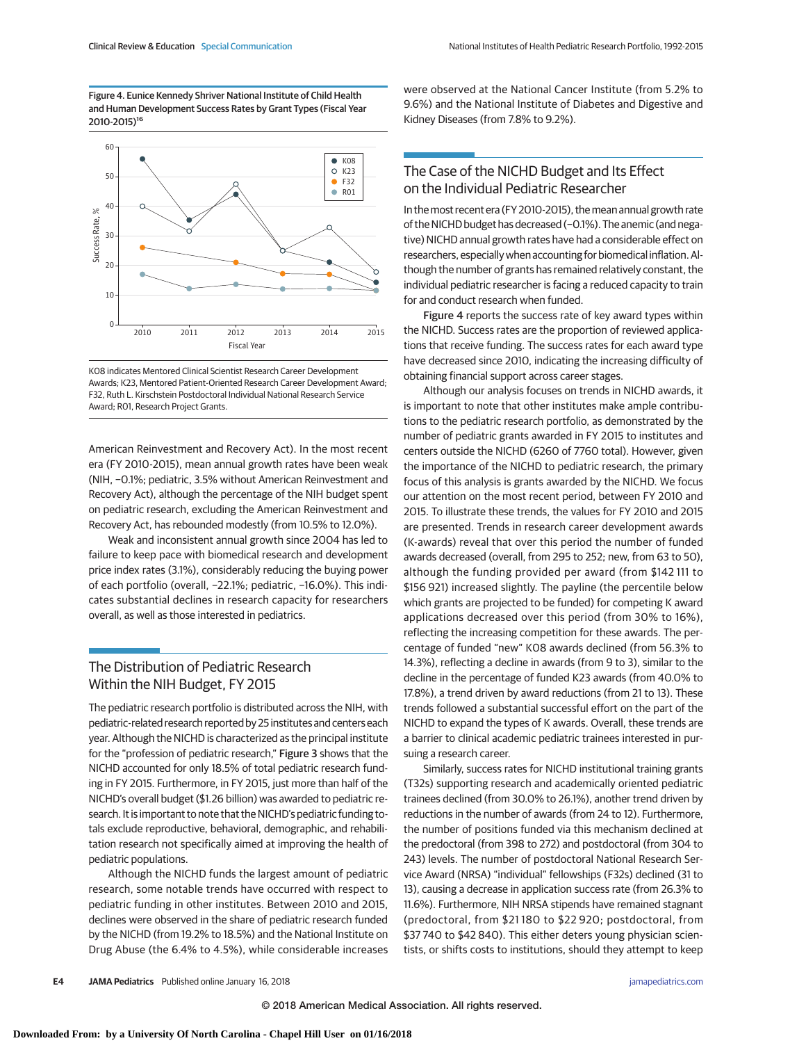Figure 4. Eunice Kennedy Shriver National Institute of Child Health and Human Development Success Rates by Grant Types (Fiscal Year 2010-2015)16



K08 indicates Mentored Clinical Scientist Research Career Development Awards; K23, Mentored Patient-Oriented Research Career Development Award; F32, Ruth L. Kirschstein Postdoctoral Individual National Research Service Award; R01, Research Project Grants.

American Reinvestment and Recovery Act). In the most recent era (FY 2010-2015), mean annual growth rates have been weak (NIH, −0.1%; pediatric, 3.5% without American Reinvestment and Recovery Act), although the percentage of the NIH budget spent on pediatric research, excluding the American Reinvestment and Recovery Act, has rebounded modestly (from 10.5% to 12.0%).

Weak and inconsistent annual growth since 2004 has led to failure to keep pace with biomedical research and development price index rates (3.1%), considerably reducing the buying power of each portfolio (overall, −22.1%; pediatric, −16.0%). This indicates substantial declines in research capacity for researchers overall, as well as those interested in pediatrics.

## The Distribution of Pediatric Research Within the NIH Budget, FY 2015

The pediatric research portfolio is distributed across the NIH, with pediatric-related research reported by 25 institutes and centers each year. Although the NICHD is characterized as the principal institute for the "profession of pediatric research," Figure 3 shows that the NICHD accounted for only 18.5% of total pediatric research funding in FY 2015. Furthermore, in FY 2015, just more than half of the NICHD's overall budget (\$1.26 billion) was awarded to pediatric research. It is important to note that the NICHD's pediatric funding totals exclude reproductive, behavioral, demographic, and rehabilitation research not specifically aimed at improving the health of pediatric populations.

Although the NICHD funds the largest amount of pediatric research, some notable trends have occurred with respect to pediatric funding in other institutes. Between 2010 and 2015, declines were observed in the share of pediatric research funded by the NICHD (from 19.2% to 18.5%) and the National Institute on Drug Abuse (the 6.4% to 4.5%), while considerable increases were observed at the National Cancer Institute (from 5.2% to 9.6%) and the National Institute of Diabetes and Digestive and Kidney Diseases (from 7.8% to 9.2%).

# The Case of the NICHD Budget and Its Effect on the Individual Pediatric Researcher

In themost recent era (FY 2010-2015), themean annual growth rate of the NICHD budget has decreased (-0.1%). The anemic (and negative) NICHD annual growth rates have had a considerable effect on researchers, especially when accounting for biomedical inflation. Although the number of grants has remained relatively constant, the individual pediatric researcher is facing a reduced capacity to train for and conduct research when funded.

Figure 4 reports the success rate of key award types within the NICHD. Success rates are the proportion of reviewed applications that receive funding. The success rates for each award type have decreased since 2010, indicating the increasing difficulty of obtaining financial support across career stages.

Although our analysis focuses on trends in NICHD awards, it is important to note that other institutes make ample contributions to the pediatric research portfolio, as demonstrated by the number of pediatric grants awarded in FY 2015 to institutes and centers outside the NICHD (6260 of 7760 total). However, given the importance of the NICHD to pediatric research, the primary focus of this analysis is grants awarded by the NICHD. We focus our attention on the most recent period, between FY 2010 and 2015. To illustrate these trends, the values for FY 2010 and 2015 are presented. Trends in research career development awards (K-awards) reveal that over this period the number of funded awards decreased (overall, from 295 to 252; new, from 63 to 50), although the funding provided per award (from \$142 111 to \$156 921) increased slightly. The payline (the percentile below which grants are projected to be funded) for competing K award applications decreased over this period (from 30% to 16%), reflecting the increasing competition for these awards. The percentage of funded "new" K08 awards declined (from 56.3% to 14.3%), reflecting a decline in awards (from 9 to 3), similar to the decline in the percentage of funded K23 awards (from 40.0% to 17.8%), a trend driven by award reductions (from 21 to 13). These trends followed a substantial successful effort on the part of the NICHD to expand the types of K awards. Overall, these trends are a barrier to clinical academic pediatric trainees interested in pursuing a research career.

Similarly, success rates for NICHD institutional training grants (T32s) supporting research and academically oriented pediatric trainees declined (from 30.0% to 26.1%), another trend driven by reductions in the number of awards (from 24 to 12). Furthermore, the number of positions funded via this mechanism declined at the predoctoral (from 398 to 272) and postdoctoral (from 304 to 243) levels. The number of postdoctoral National Research Service Award (NRSA) "individual" fellowships (F32s) declined (31 to 13), causing a decrease in application success rate (from 26.3% to 11.6%). Furthermore, NIH NRSA stipends have remained stagnant (predoctoral, from \$21 180 to \$22 920; postdoctoral, from \$37 740 to \$42 840). This either deters young physician scientists, or shifts costs to institutions, should they attempt to keep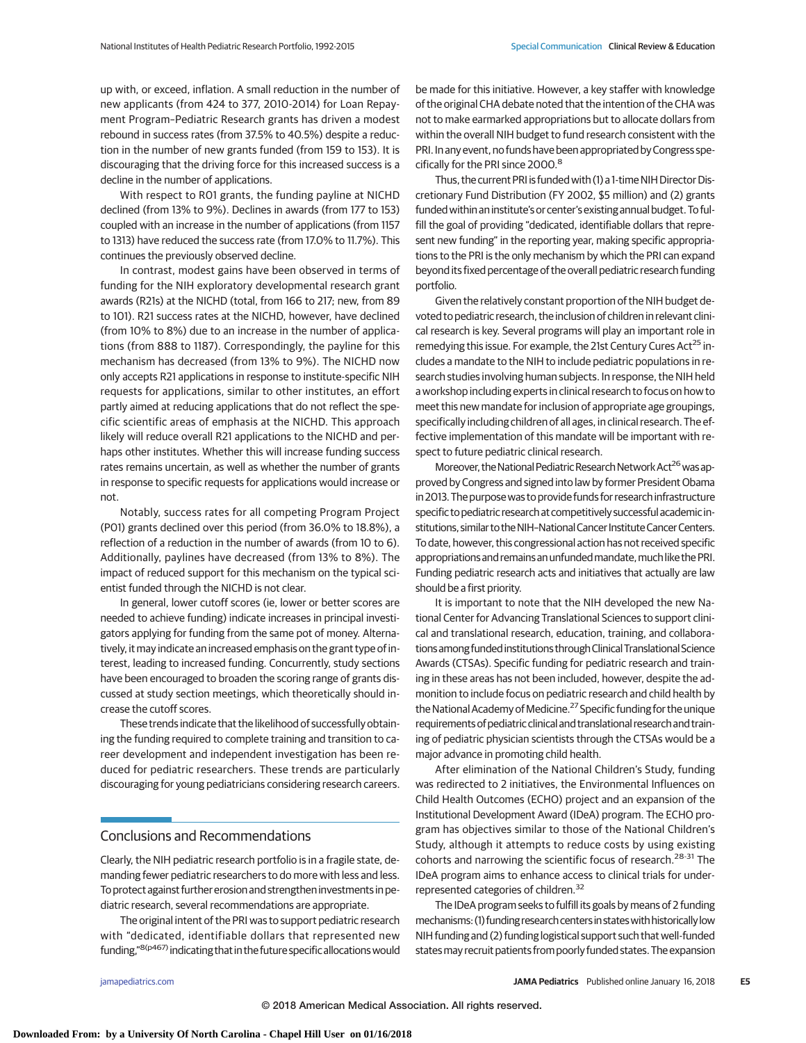up with, or exceed, inflation. A small reduction in the number of new applicants (from 424 to 377, 2010-2014) for Loan Repayment Program–Pediatric Research grants has driven a modest rebound in success rates (from 37.5% to 40.5%) despite a reduction in the number of new grants funded (from 159 to 153). It is discouraging that the driving force for this increased success is a decline in the number of applications.

With respect to R01 grants, the funding payline at NICHD declined (from 13% to 9%). Declines in awards (from 177 to 153) coupled with an increase in the number of applications (from 1157 to 1313) have reduced the success rate (from 17.0% to 11.7%). This continues the previously observed decline.

In contrast, modest gains have been observed in terms of funding for the NIH exploratory developmental research grant awards (R21s) at the NICHD (total, from 166 to 217; new, from 89 to 101). R21 success rates at the NICHD, however, have declined (from 10% to 8%) due to an increase in the number of applications (from 888 to 1187). Correspondingly, the payline for this mechanism has decreased (from 13% to 9%). The NICHD now only accepts R21 applications in response to institute-specific NIH requests for applications, similar to other institutes, an effort partly aimed at reducing applications that do not reflect the specific scientific areas of emphasis at the NICHD. This approach likely will reduce overall R21 applications to the NICHD and perhaps other institutes. Whether this will increase funding success rates remains uncertain, as well as whether the number of grants in response to specific requests for applications would increase or not.

Notably, success rates for all competing Program Project (P01) grants declined over this period (from 36.0% to 18.8%), a reflection of a reduction in the number of awards (from 10 to 6). Additionally, paylines have decreased (from 13% to 8%). The impact of reduced support for this mechanism on the typical scientist funded through the NICHD is not clear.

In general, lower cutoff scores (ie, lower or better scores are needed to achieve funding) indicate increases in principal investigators applying for funding from the same pot of money. Alternatively, it may indicate an increased emphasis on the grant type of interest, leading to increased funding. Concurrently, study sections have been encouraged to broaden the scoring range of grants discussed at study section meetings, which theoretically should increase the cutoff scores.

These trends indicate that the likelihood of successfully obtaining the funding required to complete training and transition to career development and independent investigation has been reduced for pediatric researchers. These trends are particularly discouraging for young pediatricians considering research careers.

#### Conclusions and Recommendations

Clearly, the NIH pediatric research portfolio is in a fragile state, demanding fewer pediatric researchers to do more with less and less. To protect against further erosion and strengthen investments in pediatric research, several recommendations are appropriate.

The original intent of the PRI was to support pediatric research with "dedicated, identifiable dollars that represented new funding,"<sup>8(p467)</sup> indicating that in the future specific allocations would be made for this initiative. However, a key staffer with knowledge of the original CHA debate noted that the intention of the CHA was not to make earmarked appropriations but to allocate dollars from within the overall NIH budget to fund research consistent with the PRI. In any event, no funds have been appropriated by Congress specifically for the PRI since 2000.<sup>8</sup>

Thus, the current PRI is funded with (1) a 1-time NIH Director Discretionary Fund Distribution (FY 2002, \$5 million) and (2) grants funded within an institute's or center'sexisting annual budget. To fulfill the goal of providing "dedicated, identifiable dollars that represent new funding" in the reporting year, making specific appropriations to the PRI is the only mechanism by which the PRI can expand beyond its fixed percentage of the overall pediatric research funding portfolio.

Given the relatively constant proportion of the NIH budget devoted to pediatric research, the inclusion of children in relevant clinical research is key. Several programs will play an important role in remedying this issue. For example, the 21st Century Cures Act<sup>25</sup> includes a mandate to the NIH to include pediatric populations in research studies involving human subjects. In response, the NIH held a workshop including experts in clinical research to focus on how to meet this new mandate for inclusion of appropriate age groupings, specifically including children of all ages, in clinical research. The effective implementation of this mandate will be important with respect to future pediatric clinical research.

Moreover, the National Pediatric Research Network Act<sup>26</sup> was approved by Congress and signed into law by former President Obama in 2013. The purposewas to provide funds for research infrastructure specific to pediatric researchat competitively successfulacademic institutions, similar to the NIH-National Cancer Institute Cancer Centers. To date, however, this congressional action has not received specific appropriations and remains an unfunded mandate, much like the PRI. Funding pediatric research acts and initiatives that actually are law should be a first priority.

It is important to note that the NIH developed the new National Center for Advancing Translational Sciences to support clinical and translational research, education, training, and collaborations among funded institutions through Clinical Translational Science Awards (CTSAs). Specific funding for pediatric research and training in these areas has not been included, however, despite the admonition to include focus on pediatric research and child health by the National Academy of Medicine.<sup>27</sup> Specific funding for the unique requirements of pediatric clinicaland translational researchand training of pediatric physician scientists through the CTSAs would be a major advance in promoting child health.

After elimination of the National Children's Study, funding was redirected to 2 initiatives, the Environmental Influences on Child Health Outcomes (ECHO) project and an expansion of the Institutional Development Award (IDeA) program. The ECHO program has objectives similar to those of the National Children's Study, although it attempts to reduce costs by using existing cohorts and narrowing the scientific focus of research.<sup>28-31</sup> The IDeA program aims to enhance access to clinical trials for underrepresented categories of children.<sup>32</sup>

The IDeA program seeks to fulfill its goals by means of 2 funding mechanisms: (1) funding research centers in states with historically low NIH funding and (2) funding logistical support such that well-funded states may recruit patients from poorly funded states. The expansion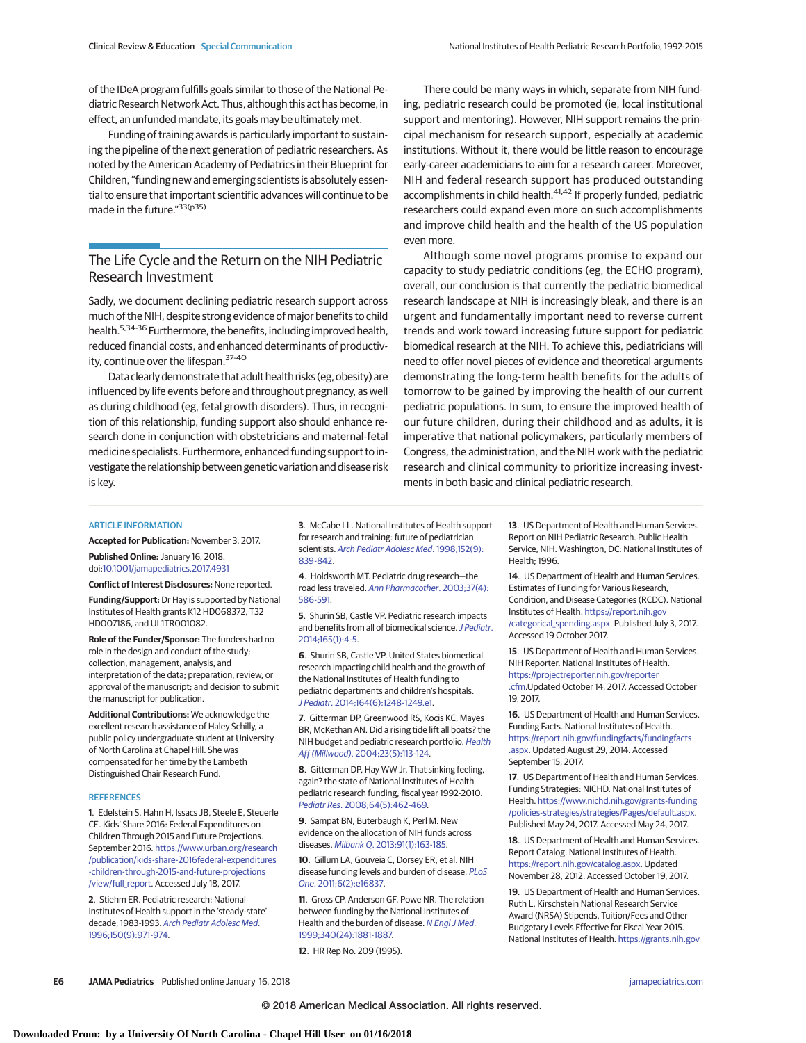of the IDeA program fulfills goals similar to those of the National Pediatric Research Network Act. Thus, although this act has become, in effect, an unfunded mandate, its goals may be ultimately met.

Funding of training awards is particularly important to sustaining the pipeline of the next generation of pediatric researchers. As noted by the American Academy of Pediatrics in their Blueprint for Children, "funding new and emerging scientists is absolutely essential to ensure that important scientific advances will continue to be made in the future."33(p35)

# The Life Cycle and the Return on the NIH Pediatric Research Investment

Sadly, we document declining pediatric research support across much of the NIH, despite strong evidence of major benefits to child health.<sup>5,34-36</sup> Furthermore, the benefits, including improved health, reduced financial costs, and enhanced determinants of productivity, continue over the lifespan.<sup>37-40</sup>

Data clearly demonstrate that adult health risks (eg, obesity) are influenced by life events before and throughout pregnancy, as well as during childhood (eg, fetal growth disorders). Thus, in recognition of this relationship, funding support also should enhance research done in conjunction with obstetricians and maternal-fetal medicine specialists. Furthermore, enhanced funding support to investigate the relationship between genetic variation and disease risk is key.

There could be many ways in which, separate from NIH funding, pediatric research could be promoted (ie, local institutional support and mentoring). However, NIH support remains the principal mechanism for research support, especially at academic institutions. Without it, there would be little reason to encourage early-career academicians to aim for a research career. Moreover, NIH and federal research support has produced outstanding accomplishments in child health.<sup>41,42</sup> If properly funded, pediatric researchers could expand even more on such accomplishments and improve child health and the health of the US population even more.

Although some novel programs promise to expand our capacity to study pediatric conditions (eg, the ECHO program), overall, our conclusion is that currently the pediatric biomedical research landscape at NIH is increasingly bleak, and there is an urgent and fundamentally important need to reverse current trends and work toward increasing future support for pediatric biomedical research at the NIH. To achieve this, pediatricians will need to offer novel pieces of evidence and theoretical arguments demonstrating the long-term health benefits for the adults of tomorrow to be gained by improving the health of our current pediatric populations. In sum, to ensure the improved health of our future children, during their childhood and as adults, it is imperative that national policymakers, particularly members of Congress, the administration, and the NIH work with the pediatric research and clinical community to prioritize increasing investments in both basic and clinical pediatric research.

#### ARTICLE INFORMATION

**Accepted for Publication:** November 3, 2017. **Published Online:** January 16, 2018.

doi[:10.1001/jamapediatrics.2017.4931](http://jama.jamanetwork.com/article.aspx?doi=10.1001/jamapediatrics.2017.4931&utm_campaign=articlePDF%26utm_medium=articlePDFlink%26utm_source=articlePDF%26utm_content=jamapediatrics.2017.4931) **Conflict of Interest Disclosures:** None reported.

**Funding/Support:** Dr Hay is supported by National Institutes of Health grants K12 HD068372, T32 HD007186, and UL1TR001082.

**Role of the Funder/Sponsor:** The funders had no role in the design and conduct of the study; collection, management, analysis, and interpretation of the data; preparation, review, or approval of the manuscript; and decision to submit the manuscript for publication.

**Additional Contributions:** We acknowledge the excellent research assistance of Haley Schilly, a public policy undergraduate student at University of North Carolina at Chapel Hill. She was compensated for her time by the Lambeth Distinguished Chair Research Fund.

#### **REFERENCES**

**1**. Edelstein S, Hahn H, Issacs JB, Steele E, Steuerle CE. Kids' Share 2016: Federal Expenditures on Children Through 2015 and Future Projections. September 2016. [https://www.urban.org/research](https://www.urban.org/research/publication/kids-share-2016federal-expenditures-children-through-2015-and-future-projections/view/full_report) [/publication/kids-share-2016federal-expenditures](https://www.urban.org/research/publication/kids-share-2016federal-expenditures-children-through-2015-and-future-projections/view/full_report) [-children-through-2015-and-future-projections](https://www.urban.org/research/publication/kids-share-2016federal-expenditures-children-through-2015-and-future-projections/view/full_report) [/view/full\\_report.](https://www.urban.org/research/publication/kids-share-2016federal-expenditures-children-through-2015-and-future-projections/view/full_report) Accessed July 18, 2017.

**2**. Stiehm ER. Pediatric research: National Institutes of Health support in the 'steady-state' decade, 1983-1993. [Arch Pediatr Adolesc Med](https://www.ncbi.nlm.nih.gov/pubmed/8790130). [1996;150\(9\):971-974.](https://www.ncbi.nlm.nih.gov/pubmed/8790130)

**3**. McCabe LL. National Institutes of Health support for research and training: future of pediatrician scientists. [Arch Pediatr Adolesc Med](https://www.ncbi.nlm.nih.gov/pubmed/9743027). 1998;152(9): [839-842.](https://www.ncbi.nlm.nih.gov/pubmed/9743027)

**4**. Holdsworth MT. Pediatric drug research—the road less traveled. [Ann Pharmacother](https://www.ncbi.nlm.nih.gov/pubmed/12659620). 2003;37(4): [586-591.](https://www.ncbi.nlm.nih.gov/pubmed/12659620)

**5**. Shurin SB, Castle VP. Pediatric research impacts and benefits from all of biomedical science. [J Pediatr](https://www.ncbi.nlm.nih.gov/pubmed/24973158). [2014;165\(1\):4-5.](https://www.ncbi.nlm.nih.gov/pubmed/24973158)

**6**. Shurin SB, Castle VP. United States biomedical research impacting child health and the growth of the National Institutes of Health funding to pediatric departments and children's hospitals. J Pediatr[. 2014;164\(6\):1248-1249.e1.](https://www.ncbi.nlm.nih.gov/pubmed/24855924)

**7**. Gitterman DP, Greenwood RS, Kocis KC, Mayes BR, McKethan AN. Did a rising tide lift all boats? the NIH budget and pediatric research portfolio. [Health](https://www.ncbi.nlm.nih.gov/pubmed/15371375) Aff (Millwood)[. 2004;23\(5\):113-124.](https://www.ncbi.nlm.nih.gov/pubmed/15371375)

**8**. Gitterman DP, Hay WW Jr. That sinking feeling, again? the state of National Institutes of Health pediatric research funding, fiscal year 1992-2010. Pediatr Res[. 2008;64\(5\):462-469.](https://www.ncbi.nlm.nih.gov/pubmed/18787420)

**9**. Sampat BN, Buterbaugh K, Perl M. New evidence on the allocation of NIH funds across diseases. Milbank Q[. 2013;91\(1\):163-185.](https://www.ncbi.nlm.nih.gov/pubmed/23488714)

**10**. Gillum LA, Gouveia C, Dorsey ER, et al. NIH disease funding levels and burden of disease. [PLoS](https://www.ncbi.nlm.nih.gov/pubmed/21383981) One[. 2011;6\(2\):e16837.](https://www.ncbi.nlm.nih.gov/pubmed/21383981)

**11**. Gross CP, Anderson GF, Powe NR. The relation between funding by the National Institutes of Health and the burden of disease. [N Engl J Med](https://www.ncbi.nlm.nih.gov/pubmed/10369852). [1999;340\(24\):1881-1887.](https://www.ncbi.nlm.nih.gov/pubmed/10369852)

**12**. HR Rep No. 209 (1995).

**13**. US Department of Health and Human Services. Report on NIH Pediatric Research. Public Health Service, NIH. Washington, DC: National Institutes of Health; 1996.

**14**. US Department of Health and Human Services. Estimates of Funding for Various Research, Condition, and Disease Categories (RCDC). National Institutes of Health. [https://report.nih.gov](https://report.nih.gov/categorical_spending.aspx) [/categorical\\_spending.aspx.](https://report.nih.gov/categorical_spending.aspx) Published July 3, 2017. Accessed 19 October 2017.

**15**. US Department of Health and Human Services. NIH Reporter. National Institutes of Health. [https://projectreporter.nih.gov/reporter](https://projectreporter.nih.gov/reporter.cfm) [.cfm.](https://projectreporter.nih.gov/reporter.cfm)Updated October 14, 2017. Accessed October 19, 2017.

**16**. US Department of Health and Human Services. Funding Facts. National Institutes of Health. [https://report.nih.gov/fundingfacts/fundingfacts](https://report.nih.gov/fundingfacts/fundingfacts.aspx) [.aspx.](https://report.nih.gov/fundingfacts/fundingfacts.aspx) Updated August 29, 2014. Accessed September 15, 2017.

**17**. US Department of Health and Human Services. Funding Strategies: NICHD. National Institutes of Health. [https://www.nichd.nih.gov/grants-funding](https://www.nichd.nih.gov/grants-funding/policies-strategies/strategies/Pages/default.aspx) [/policies-strategies/strategies/Pages/default.aspx.](https://www.nichd.nih.gov/grants-funding/policies-strategies/strategies/Pages/default.aspx) Published May 24, 2017. Accessed May 24, 2017.

**18**. US Department of Health and Human Services. Report Catalog. National Institutes of Health. [https://report.nih.gov/catalog.aspx.](https://report.nih.gov/catalog.aspx) Updated November 28, 2012. Accessed October 19, 2017.

**19**. US Department of Health and Human Services. Ruth L. Kirschstein National Research Service Award (NRSA) Stipends, Tuition/Fees and Other Budgetary Levels Effective for Fiscal Year 2015. National Institutes of Health. [https://grants.nih.gov](https://grants.nih.gov/grants/guide/notice-files/NOT-OD-15-048.html)